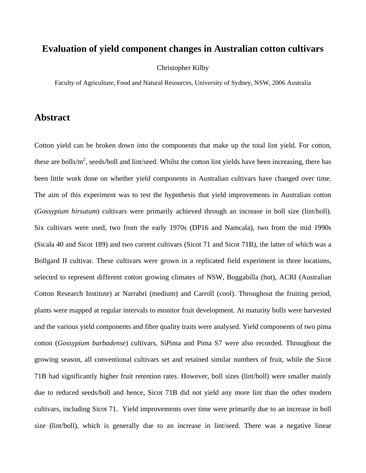## **Evaluation of yield component changes in Australian cotton cultivars**

Christopher Kilby

Faculty of Agriculture, Food and Natural Resources, University of Sydney, NSW, 2006 Australia

## **Abstract**

Cotton yield can be broken down into the components that make up the total lint yield. For cotton, these are bolls/ $m^2$ , seeds/boll and lint/seed. Whilst the cotton lint yields have been increasing, there has been little work done on whether yield components in Australian cultivars have changed over time. The aim of this experiment was to test the hypothesis that yield improvements in Australian cotton (*Gossypium hirsutum*) cultivars were primarily achieved through an increase in boll size (lint/boll). Six cultivars were used, two from the early 1970s (DP16 and Namcala), two from the mid 1990s (Sicala 40 and Sicot 189) and two current cultivars (Sicot 71 and Sicot 71B), the latter of which was a Bollgard II cultivar. These cultivars were grown in a replicated field experiment in three locations, selected to represent different cotton growing climates of NSW, Boggabilla (hot), ACRI (Australian Cotton Research Institute) at Narrabri (medium) and Carroll (cool). Throughout the fruiting period, plants were mapped at regular intervals to monitor fruit development. At maturity bolls were harvested and the various yield components and fibre quality traits were analysed. Yield components of two pima cotton (*Gossypium barbadense*) cultivars, SiPima and Pima S7 were also recorded. Throughout the growing season, all conventional cultivars set and retained similar numbers of fruit, while the Sicot 71B had significantly higher fruit retention rates. However, boll sizes (lint/boll) were smaller mainly due to reduced seeds/boll and hence, Sicot 71B did not yield any more lint than the other modern cultivars, including Sicot 71. Yield improvements over time were primarily due to an increase in boll size (lint/boll), which is generally due to an increase in lint/seed. There was a negative linear